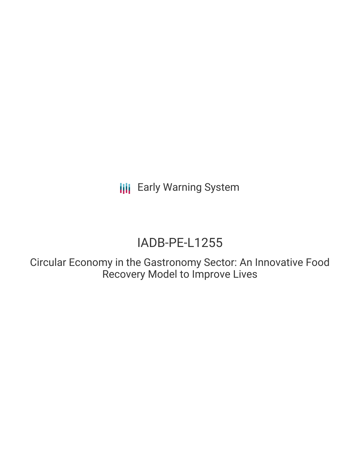**III** Early Warning System

# IADB-PE-L1255

Circular Economy in the Gastronomy Sector: An Innovative Food Recovery Model to Improve Lives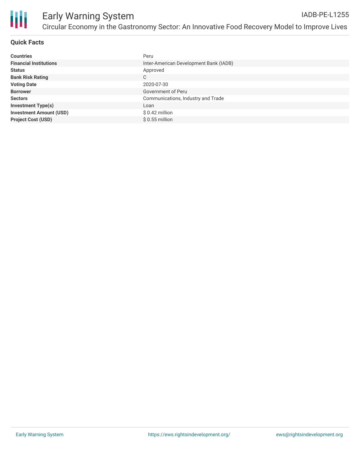

## **Quick Facts**

| <b>Countries</b>               | Peru                                   |
|--------------------------------|----------------------------------------|
| <b>Financial Institutions</b>  | Inter-American Development Bank (IADB) |
| <b>Status</b>                  | Approved                               |
| <b>Bank Risk Rating</b>        | C                                      |
| <b>Voting Date</b>             | 2020-07-30                             |
| <b>Borrower</b>                | Government of Peru                     |
| <b>Sectors</b>                 | Communications, Industry and Trade     |
| <b>Investment Type(s)</b>      | Loan                                   |
| <b>Investment Amount (USD)</b> | $$0.42$ million                        |
| <b>Project Cost (USD)</b>      | $$0.55$ million                        |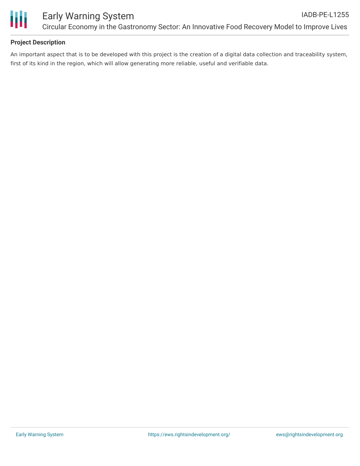

## **Project Description**

An important aspect that is to be developed with this project is the creation of a digital data collection and traceability system, first of its kind in the region, which will allow generating more reliable, useful and verifiable data.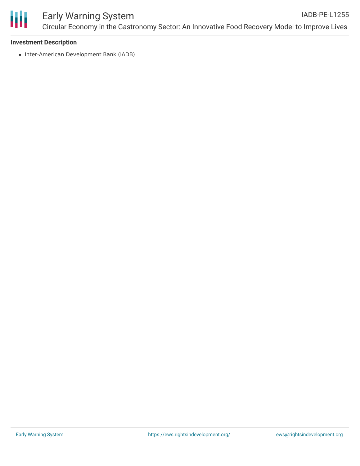

#### **Investment Description**

• Inter-American Development Bank (IADB)